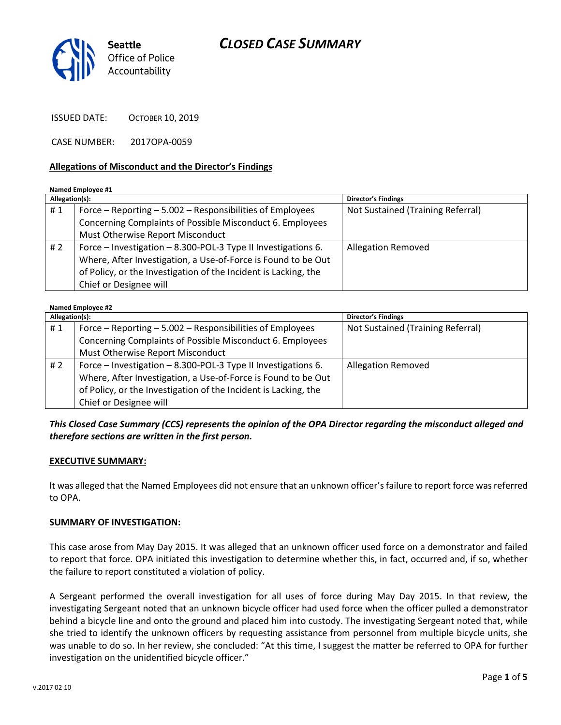



ISSUED DATE: OCTOBER 10, 2019

CASE NUMBER: 2017OPA-0059

#### Allegations of Misconduct and the Director's Findings

Named Employee #1

| Allegation(s): |                                                                 | <b>Director's Findings</b>        |
|----------------|-----------------------------------------------------------------|-----------------------------------|
| #1             | Force – Reporting – 5.002 – Responsibilities of Employees       | Not Sustained (Training Referral) |
|                | Concerning Complaints of Possible Misconduct 6. Employees       |                                   |
|                | Must Otherwise Report Misconduct                                |                                   |
| # $2$          | Force – Investigation – 8.300-POL-3 Type II Investigations 6.   | <b>Allegation Removed</b>         |
|                | Where, After Investigation, a Use-of-Force is Found to be Out   |                                   |
|                | of Policy, or the Investigation of the Incident is Lacking, the |                                   |
|                | Chief or Designee will                                          |                                   |

| <b>Named Employee #2</b> |                                                                 |                                   |  |
|--------------------------|-----------------------------------------------------------------|-----------------------------------|--|
| Allegation(s):           |                                                                 | <b>Director's Findings</b>        |  |
| #1                       | Force - Reporting - 5.002 - Responsibilities of Employees       | Not Sustained (Training Referral) |  |
|                          | Concerning Complaints of Possible Misconduct 6. Employees       |                                   |  |
|                          | Must Otherwise Report Misconduct                                |                                   |  |
| #2                       | Force – Investigation – 8.300-POL-3 Type II Investigations 6.   | <b>Allegation Removed</b>         |  |
|                          | Where, After Investigation, a Use-of-Force is Found to be Out   |                                   |  |
|                          | of Policy, or the Investigation of the Incident is Lacking, the |                                   |  |
|                          | Chief or Designee will                                          |                                   |  |

This Closed Case Summary (CCS) represents the opinion of the OPA Director regarding the misconduct alleged and therefore sections are written in the first person.

### EXECUTIVE SUMMARY:

It was alleged that the Named Employees did not ensure that an unknown officer's failure to report force was referred to OPA.

#### SUMMARY OF INVESTIGATION:

This case arose from May Day 2015. It was alleged that an unknown officer used force on a demonstrator and failed to report that force. OPA initiated this investigation to determine whether this, in fact, occurred and, if so, whether the failure to report constituted a violation of policy.

A Sergeant performed the overall investigation for all uses of force during May Day 2015. In that review, the investigating Sergeant noted that an unknown bicycle officer had used force when the officer pulled a demonstrator behind a bicycle line and onto the ground and placed him into custody. The investigating Sergeant noted that, while she tried to identify the unknown officers by requesting assistance from personnel from multiple bicycle units, she was unable to do so. In her review, she concluded: "At this time, I suggest the matter be referred to OPA for further investigation on the unidentified bicycle officer."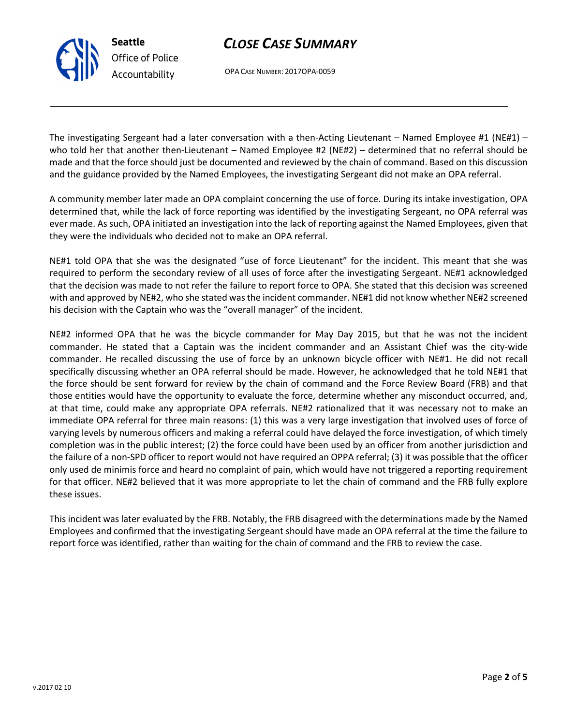# CLOSE CASE SUMMARY

OPA CASE NUMBER: 2017OPA-0059

The investigating Sergeant had a later conversation with a then-Acting Lieutenant – Named Employee #1 (NE#1) – who told her that another then-Lieutenant – Named Employee #2 (NE#2) – determined that no referral should be made and that the force should just be documented and reviewed by the chain of command. Based on this discussion and the guidance provided by the Named Employees, the investigating Sergeant did not make an OPA referral.

A community member later made an OPA complaint concerning the use of force. During its intake investigation, OPA determined that, while the lack of force reporting was identified by the investigating Sergeant, no OPA referral was ever made. As such, OPA initiated an investigation into the lack of reporting against the Named Employees, given that they were the individuals who decided not to make an OPA referral.

NE#1 told OPA that she was the designated "use of force Lieutenant" for the incident. This meant that she was required to perform the secondary review of all uses of force after the investigating Sergeant. NE#1 acknowledged that the decision was made to not refer the failure to report force to OPA. She stated that this decision was screened with and approved by NE#2, who she stated was the incident commander. NE#1 did not know whether NE#2 screened his decision with the Captain who was the "overall manager" of the incident.

NE#2 informed OPA that he was the bicycle commander for May Day 2015, but that he was not the incident commander. He stated that a Captain was the incident commander and an Assistant Chief was the city-wide commander. He recalled discussing the use of force by an unknown bicycle officer with NE#1. He did not recall specifically discussing whether an OPA referral should be made. However, he acknowledged that he told NE#1 that the force should be sent forward for review by the chain of command and the Force Review Board (FRB) and that those entities would have the opportunity to evaluate the force, determine whether any misconduct occurred, and, at that time, could make any appropriate OPA referrals. NE#2 rationalized that it was necessary not to make an immediate OPA referral for three main reasons: (1) this was a very large investigation that involved uses of force of varying levels by numerous officers and making a referral could have delayed the force investigation, of which timely completion was in the public interest; (2) the force could have been used by an officer from another jurisdiction and the failure of a non-SPD officer to report would not have required an OPPA referral; (3) it was possible that the officer only used de minimis force and heard no complaint of pain, which would have not triggered a reporting requirement for that officer. NE#2 believed that it was more appropriate to let the chain of command and the FRB fully explore these issues.

This incident was later evaluated by the FRB. Notably, the FRB disagreed with the determinations made by the Named Employees and confirmed that the investigating Sergeant should have made an OPA referral at the time the failure to report force was identified, rather than waiting for the chain of command and the FRB to review the case.



Seattle

Office of Police Accountability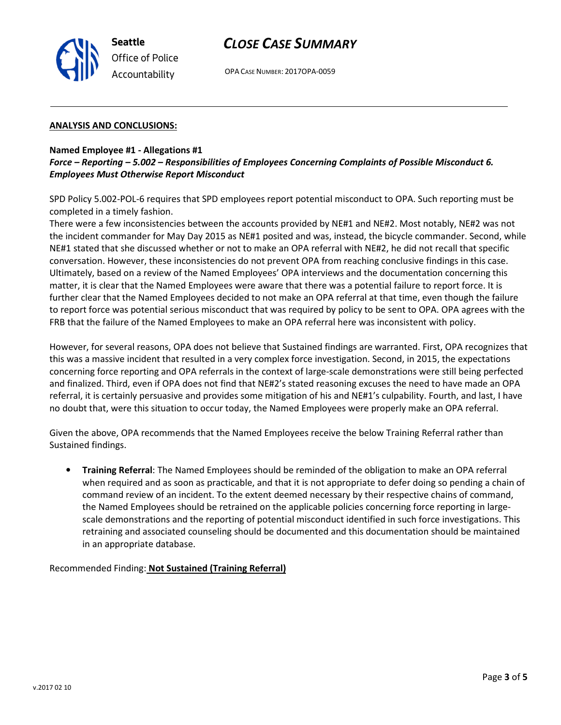

# CLOSE CASE SUMMARY

OPA CASE NUMBER: 2017OPA-0059

#### ANALYSIS AND CONCLUSIONS:

#### Named Employee #1 - Allegations #1

### Force – Reporting – 5.002 – Responsibilities of Employees Concerning Complaints of Possible Misconduct 6. Employees Must Otherwise Report Misconduct

SPD Policy 5.002-POL-6 requires that SPD employees report potential misconduct to OPA. Such reporting must be completed in a timely fashion.

There were a few inconsistencies between the accounts provided by NE#1 and NE#2. Most notably, NE#2 was not the incident commander for May Day 2015 as NE#1 posited and was, instead, the bicycle commander. Second, while NE#1 stated that she discussed whether or not to make an OPA referral with NE#2, he did not recall that specific conversation. However, these inconsistencies do not prevent OPA from reaching conclusive findings in this case. Ultimately, based on a review of the Named Employees' OPA interviews and the documentation concerning this matter, it is clear that the Named Employees were aware that there was a potential failure to report force. It is further clear that the Named Employees decided to not make an OPA referral at that time, even though the failure to report force was potential serious misconduct that was required by policy to be sent to OPA. OPA agrees with the FRB that the failure of the Named Employees to make an OPA referral here was inconsistent with policy.

However, for several reasons, OPA does not believe that Sustained findings are warranted. First, OPA recognizes that this was a massive incident that resulted in a very complex force investigation. Second, in 2015, the expectations concerning force reporting and OPA referrals in the context of large-scale demonstrations were still being perfected and finalized. Third, even if OPA does not find that NE#2's stated reasoning excuses the need to have made an OPA referral, it is certainly persuasive and provides some mitigation of his and NE#1's culpability. Fourth, and last, I have no doubt that, were this situation to occur today, the Named Employees were properly make an OPA referral.

Given the above, OPA recommends that the Named Employees receive the below Training Referral rather than Sustained findings.

• Training Referral: The Named Employees should be reminded of the obligation to make an OPA referral when required and as soon as practicable, and that it is not appropriate to defer doing so pending a chain of command review of an incident. To the extent deemed necessary by their respective chains of command, the Named Employees should be retrained on the applicable policies concerning force reporting in largescale demonstrations and the reporting of potential misconduct identified in such force investigations. This retraining and associated counseling should be documented and this documentation should be maintained in an appropriate database.

Recommended Finding: Not Sustained (Training Referral)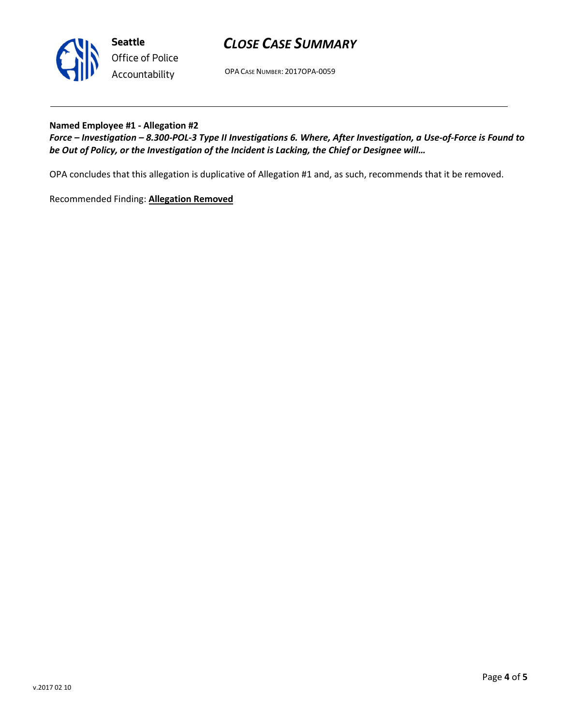

Seattle Office of Police Accountability

# CLOSE CASE SUMMARY

OPA CASE NUMBER: 2017OPA-0059

### Named Employee #1 - Allegation #2

Force – Investigation – 8.300-POL-3 Type II Investigations 6. Where, After Investigation, a Use-of-Force is Found to be Out of Policy, or the Investigation of the Incident is Lacking, the Chief or Designee will…

OPA concludes that this allegation is duplicative of Allegation #1 and, as such, recommends that it be removed.

Recommended Finding: Allegation Removed